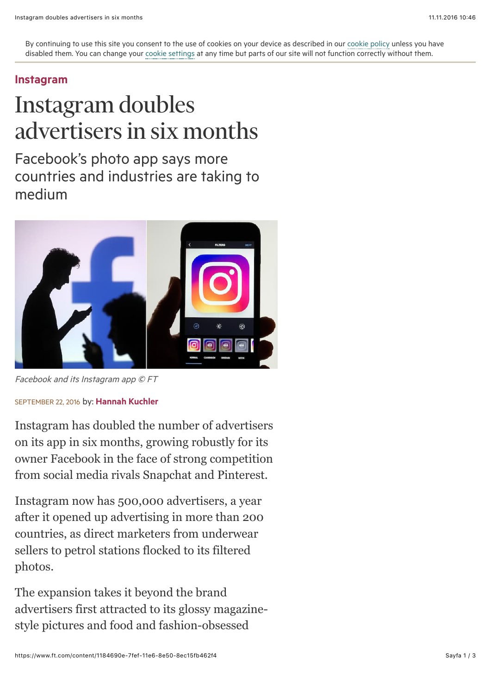By continuing to use this site you consent to the use of cookies on your device as described in our [cookie policy](http://help.ft.com/tools-services/how-the-ft-manages-cookies-on-its-websites/) unless you have disabled them. You can change your [cookie settings](http://help.ft.com/help/legal-privacy/cookies/how-to-manage-cookies/) at any time but parts of our site will not function correctly without them.

## [Instagram](https://www.ft.com/topics/organisations/Instagram_Inc)

## Instagram doubles advertisers in six months

Facebook's photo app says more countries and industries are taking to medium



Facebook and its Instagram app © FT

## SEPTEMBER 22, 2016 by: [Hannah Kuchler](https://www.ft.com/stream/authorsId/Q0ItMDAwMDc5Ng==-QXV0aG9ycw==)

Instagram has doubled the number of advertisers on its app in six months, growing robustly for its owner Facebook in the face of strong competition from social media rivals Snapchat and Pinterest.

Instagram now has 500,000 advertisers, a year after it opened up advertising in more than 200 countries, as direct marketers from underwear sellers to petrol stations flocked to its filtered photos.

The expansion takes it beyond the brand advertisers first attracted to its glossy magazinestyle pictures and food and fashion-obsessed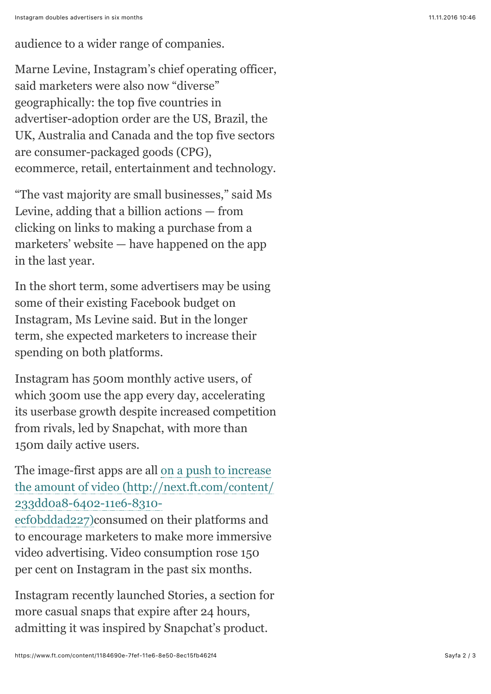audience to a wider range of companies.

Marne Levine, Instagram's chief operating officer, said marketers were also now "diverse" geographically: the top five countries in advertiser-adoption order are the US, Brazil, the UK, Australia and Canada and the top five sectors are consumer-packaged goods (CPG), ecommerce, retail, entertainment and technology.

"The vast majority are small businesses," said Ms Levine, adding that a billion actions — from clicking on links to making a purchase from a marketers' website — have happened on the app in the last year.

In the short term, some advertisers may be using some of their existing Facebook budget on Instagram, Ms Levine said. But in the longer term, she expected marketers to increase their spending on both platforms.

Instagram has 500m monthly active users, of which 300m use the app every day, accelerating its userbase growth despite increased competition from rivals, led by Snapchat, with more than 150m daily active users.

The image-first apps are all on a push to increase [the amount of video \(http://next.ft.com/content/](https://www.ft.com/content/233dd0a8-6402-11e6-8310-ecf0bddad227) 233dd0a8-6402-11e6-8310-

ecf0bddad227)consumed on their platforms and to encourage marketers to make more immersive video advertising. Video consumption rose 150 per cent on Instagram in the past six months.

Instagram recently launched Stories, a section for more casual snaps that expire after 24 hours, admitting it was inspired by Snapchat's product.